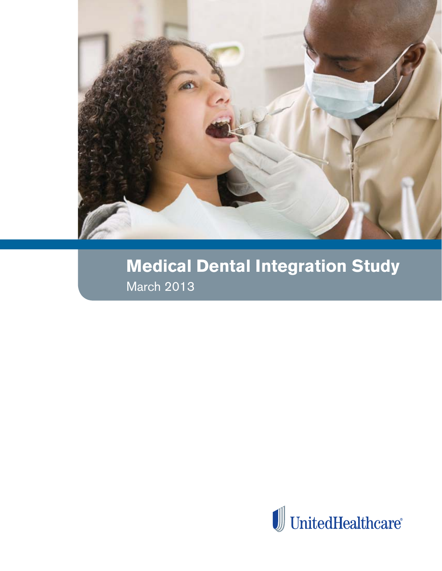

# **Medical Dental Integration Study** March 2013

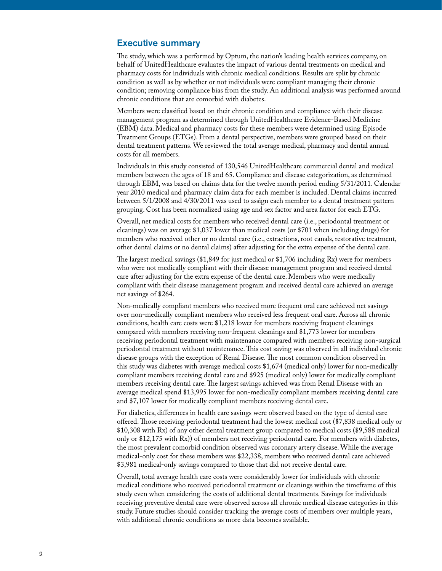# Executive summary

The study, which was a performed by Optum, the nation's leading health services company, on behalf of UnitedHealthcare evaluates the impact of various dental treatments on medical and pharmacy costs for individuals with chronic medical conditions. Results are split by chronic condition as well as by whether or not individuals were compliant managing their chronic condition; removing compliance bias from the study. An additional analysis was performed around chronic conditions that are comorbid with diabetes.

Members were classified based on their chronic condition and compliance with their disease management program as determined through UnitedHealthcare Evidence-Based Medicine (EBM) data. Medical and pharmacy costs for these members were determined using Episode Treatment Groups (ETGs). From a dental perspective, members were grouped based on their dental treatment patterns. We reviewed the total average medical, pharmacy and dental annual costs for all members.

Individuals in this study consisted of 130,546 UnitedHealthcare commercial dental and medical members between the ages of 18 and 65. Compliance and disease categorization, as determined through EBM, was based on claims data for the twelve month period ending 5/31/2011. Calendar year 2010 medical and pharmacy claim data for each member is included. Dental claims incurred between 5/1/2008 and 4/30/2011 was used to assign each member to a dental treatment pattern grouping. Cost has been normalized using age and sex factor and area factor for each ETG.

Overall, net medical costs for members who received dental care (i.e., periodontal treatment or cleanings) was on average \$1,037 lower than medical costs (or \$701 when including drugs) for members who received other or no dental care (i.e., extractions, root canals, restorative treatment, other dental claims or no dental claims) after adjusting for the extra expense of the dental care.

The largest medical savings (\$1,849 for just medical or \$1,706 including Rx) were for members who were not medically compliant with their disease management program and received dental care after adjusting for the extra expense of the dental care. Members who were medically compliant with their disease management program and received dental care achieved an average net savings of \$264.

Non-medically compliant members who received more frequent oral care achieved net savings over non-medically compliant members who received less frequent oral care. Across all chronic conditions, health care costs were \$1,218 lower for members receiving frequent cleanings compared with members receiving non-frequent cleanings and \$1,773 lower for members receiving periodontal treatment with maintenance compared with members receiving non-surgical periodontal treatment without maintenance. This cost saving was observed in all individual chronic disease groups with the exception of Renal Disease. The most common condition observed in this study was diabetes with average medical costs \$1,674 (medical only) lower for non-medically compliant members receiving dental care and \$925 (medical only) lower for medically compliant members receiving dental care. The largest savings achieved was from Renal Disease with an average medical spend \$13,995 lower for non-medically compliant members receiving dental care and \$7,107 lower for medically compliant members receiving dental care.

For diabetics, differences in health care savings were observed based on the type of dental care offered. Those receiving periodontal treatment had the lowest medical cost (\$7,838 medical only or \$10,308 with Rx) of any other dental treatment group compared to medical costs (\$9,588 medical only or \$12,175 with Rx)) of members not receiving periodontal care. For members with diabetes, the most prevalent comorbid condition observed was coronary artery disease. While the average medical-only cost for these members was \$22,338, members who received dental care achieved \$3,981 medical-only savings compared to those that did not receive dental care.

Overall, total average health care costs were considerably lower for individuals with chronic medical conditions who received periodontal treatment or cleanings within the timeframe of this study even when considering the costs of additional dental treatments. Savings for individuals receiving preventive dental care were observed across all chronic medical disease categories in this study. Future studies should consider tracking the average costs of members over multiple years, with additional chronic conditions as more data becomes available.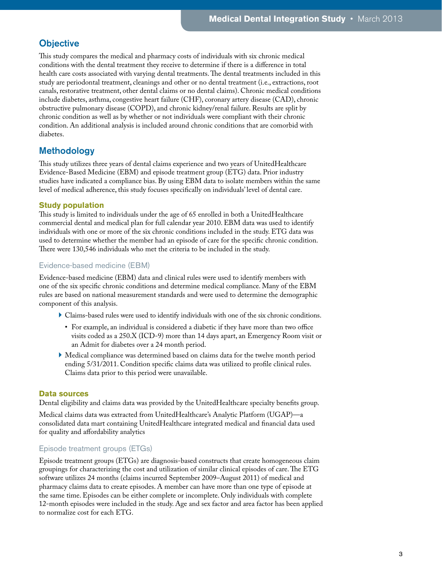# **Objective**

This study compares the medical and pharmacy costs of individuals with six chronic medical conditions with the dental treatment they receive to determine if there is a difference in total health care costs associated with varying dental treatments. The dental treatments included in this study are periodontal treatment, cleanings and other or no dental treatment (i.e., extractions, root canals, restorative treatment, other dental claims or no dental claims). Chronic medical conditions include diabetes, asthma, congestive heart failure (CHF), coronary artery disease (CAD), chronic obstructive pulmonary disease (COPD), and chronic kidney/renal failure. Results are split by chronic condition as well as by whether or not individuals were compliant with their chronic condition. An additional analysis is included around chronic conditions that are comorbid with diabetes.

# Methodology

This study utilizes three years of dental claims experience and two years of UnitedHealthcare Evidence-Based Medicine (EBM) and episode treatment group (ETG) data. Prior industry studies have indicated a compliance bias. By using EBM data to isolate members within the same level of medical adherence, this study focuses specifically on individuals' level of dental care.

# **Study population**

This study is limited to individuals under the age of 65 enrolled in both a UnitedHealthcare commercial dental and medical plan for full calendar year 2010. EBM data was used to identify individuals with one or more of the six chronic conditions included in the study. ETG data was used to determine whether the member had an episode of care for the specific chronic condition. There were 130,546 individuals who met the criteria to be included in the study.

# Evidence-based medicine (EBM)

Evidence-based medicine (EBM) data and clinical rules were used to identify members with one of the six specific chronic conditions and determine medical compliance. Many of the EBM rules are based on national measurement standards and were used to determine the demographic component of this analysis.

- } Claims-based rules were used to identify individuals with one of the six chronic conditions.
	- For example, an individual is considered a diabetic if they have more than two office visits coded as a 250.X (ICD-9) more than 14 days apart, an Emergency Room visit or an Admit for diabetes over a 24 month period.
- } Medical compliance was determined based on claims data for the twelve month period ending 5/31/2011. Condition specific claims data was utilized to profile clinical rules. Claims data prior to this period were unavailable.

# **Data sources**

Dental eligibility and claims data was provided by the UnitedHealthcare specialty benefits group.

Medical claims data was extracted from UnitedHealthcare's Analytic Platform (UGAP)—a consolidated data mart containing UnitedHealthcare integrated medical and financial data used for quality and affordability analytics

# Episode treatment groups (ETGs)

Episode treatment groups (ETGs) are diagnosis-based constructs that create homogeneous claim groupings for characterizing the cost and utilization of similar clinical episodes of care. The ETG software utilizes 24 months (claims incurred September 2009–August 2011) of medical and pharmacy claims data to create episodes. A member can have more than one type of episode at the same time. Episodes can be either complete or incomplete. Only individuals with complete 12-month episodes were included in the study. Age and sex factor and area factor has been applied to normalize cost for each ETG.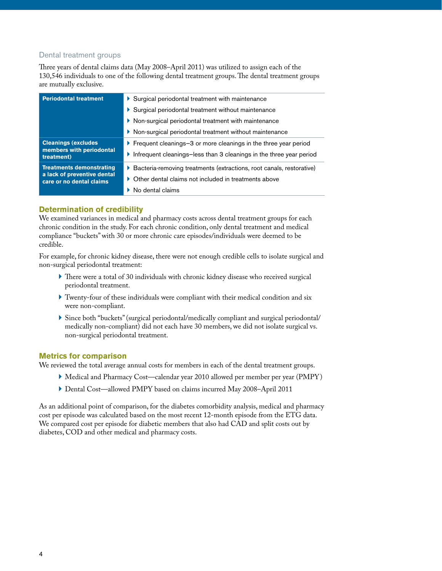# Dental treatment groups

Three years of dental claims data (May 2008–April 2011) was utilized to assign each of the 130,546 individuals to one of the following dental treatment groups. The dental treatment groups are mutually exclusive.

| <b>Periodontal treatment</b>                            | Surgical periodontal treatment with maintenance                            |
|---------------------------------------------------------|----------------------------------------------------------------------------|
|                                                         | ▶ Surgical periodontal treatment without maintenance                       |
|                                                         | ▶ Non-surgical periodontal treatment with maintenance                      |
|                                                         | ▶ Non-surgical periodontal treatment without maintenance                   |
| <b>Cleanings (excludes)</b>                             | ▶ Frequent cleanings-3 or more cleanings in the three year period          |
| members with periodontal<br>treatment)                  | Infrequent cleanings-less than 3 cleanings in the three year period        |
| <b>Treatments demonstrating</b>                         | Bacteria-removing treatments (extractions, root canals, restorative)<br>Þ. |
| a lack of preventive dental<br>care or no dental claims | Other dental claims not included in treatments above                       |
|                                                         | $\triangleright$ No dental claims                                          |
|                                                         |                                                                            |

# **Determination of credibility**

We examined variances in medical and pharmacy costs across dental treatment groups for each chronic condition in the study. For each chronic condition, only dental treatment and medical compliance "buckets" with 30 or more chronic care episodes/individuals were deemed to be credible.

For example, for chronic kidney disease, there were not enough credible cells to isolate surgical and non-surgical periodontal treatment:

- } There were a total of 30 individuals with chronic kidney disease who received surgical periodontal treatment.
- } Twenty-four of these individuals were compliant with their medical condition and six were non-compliant.
- } Since both "buckets" (surgical periodontal/medically compliant and surgical periodontal/ medically non-compliant) did not each have 30 members, we did not isolate surgical vs. non-surgical periodontal treatment.

# **Metrics for comparison**

We reviewed the total average annual costs for members in each of the dental treatment groups.

- } Medical and Pharmacy Cost—calendar year 2010 allowed per member per year (PMPY)
- } Dental Cost—allowed PMPY based on claims incurred May 2008–April 2011

As an additional point of comparison, for the diabetes comorbidity analysis, medical and pharmacy cost per episode was calculated based on the most recent 12-month episode from the ETG data. We compared cost per episode for diabetic members that also had CAD and split costs out by diabetes, COD and other medical and pharmacy costs.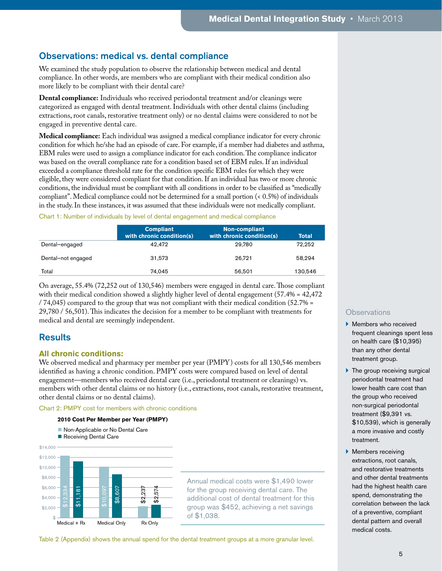# Observations: medical vs. dental compliance

We examined the study population to observe the relationship between medical and dental compliance. In other words, are members who are compliant with their medical condition also more likely to be compliant with their dental care?

**Dental compliance:** Individuals who received periodontal treatment and/or cleanings were categorized as engaged with dental treatment. Individuals with other dental claims (including extractions, root canals, restorative treatment only) or no dental claims were considered to not be engaged in preventive dental care.

**Medical compliance:** Each individual was assigned a medical compliance indicator for every chronic condition for which he/she had an episode of care. For example, if a member had diabetes and asthma, EBM rules were used to assign a compliance indicator for each condition. The compliance indicator was based on the overall compliance rate for a condition based set of EBM rules. If an individual exceeded a compliance threshold rate for the condition specific EBM rules for which they were eligible, they were considered compliant for that condition. If an individual has two or more chronic conditions, the individual must be compliant with all conditions in order to be classified as "medically compliant". Medical compliance could not be determined for a small portion (< 0.5%) of individuals in the study. In these instances, it was assumed that these individuals were not medically compliant.

#### Chart 1: Number of individuals by level of dental engagement and medical compliance

|                    | <b>Compliant</b><br>with chronic condition(s) | <b>Non-compliant</b><br>with chronic condition(s) | Total   |
|--------------------|-----------------------------------------------|---------------------------------------------------|---------|
| Dental-engaged     | 42.472                                        | 29.780                                            | 72.252  |
| Dental-not engaged | 31.573                                        | 26.721                                            | 58.294  |
| Total              | 74.045                                        | 56.501                                            | 130,546 |

On average, 55.4% (72,252 out of 130,546) members were engaged in dental care. Those compliant with their medical condition showed a slightly higher level of dental engagement  $(57.4% = 42.472)$ / 74,045) compared to the group that was not compliant with their medical condition (52.7% = 29,780 / 56,501). This indicates the decision for a member to be compliant with treatments for medical and dental are seemingly independent.

# **Results**

# **All chronic conditions:**

We observed medical and pharmacy per member per year (PMPY) costs for all 130,546 members identified as having a chronic condition. PMPY costs were compared based on level of dental engagement—members who received dental care (i.e., periodontal treatment or cleanings) vs. members with other dental claims or no history (i.e., extractions, root canals, restorative treatment, other dental claims or no dental claims).

Chart 2: PMPY cost for members with chronic conditions

#### **2010 Cost Per Member per Year (PMPY)**

- Non-Applicable or No Dental Care
- Receiving Dental Care



Annual medical costs were \$1,490 lower for the group receiving dental care. The additional cost of dental treatment for this group was \$452, achieving a net savings of \$1,038.

Table 2 (Appendix) shows the annual spend for the dental treatment groups at a more granular level.

- } Members who received frequent cleanings spent less on health care (\$10,395) than any other dental treatment group.
- $\blacktriangleright$  The group receiving surgical periodontal treatment had lower health care cost than the group who received non-surgical periodontal treatment (\$9,391 vs. \$10,539), which is generally a more invasive and costly treatment.
- **Members receiving** extractions, root canals, and restorative treatments and other dental treatments had the highest health care spend, demonstrating the correlation between the lack of a preventive, compliant dental pattern and overall medical costs.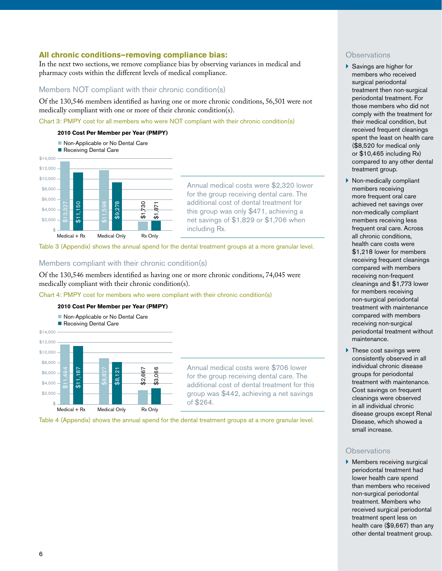# **All chronic conditions—removing compliance bias:**

In the next two sections, we remove compliance bias by observing variances in medical and pharmacy costs within the different levels of medical compliance.

# Members NOT compliant with their chronic condition(s)

Of the 130,546 members identified as having one or more chronic conditions, 56,501 were not medically compliant with one or more of their chronic condition(s).

Chart 3: PMPY cost for all members who were NOT compliant with their chronic condition(s)

#### **2010 Cost Per Member per Year (PMPY)**



Annual medical costs were \$2,320 lower for the group receiving dental care. The additional cost of dental treatment for this group was only \$471, achieving a net savings of \$1,829 or \$1,706 when including Rx.

Table 3 (Appendix) shows the annual spend for the dental treatment groups at a more granular level.

# Members compliant with their chronic condition(s)

Of the 130,546 members identified as having one or more chronic conditions, 74,045 were medically compliant with their chronic condition(s).

Chart 4: PMPY cost for members who were compliant with their chronic condition(s)



Annual medical costs were \$706 lower for the group receiving dental care. The additional cost of dental treatment for this group was \$442, achieving a net savings of \$264.

Table 4 (Appendix) shows the annual spend for the dental treatment groups at a more granular level.

# **Observations**

- ▶ Savings are higher for members who received surgical periodontal treatment then non-surgical periodontal treatment. For those members who did not comply with the treatment for their medical condition, but received frequent cleanings spent the least on health care (\$8,520 for medical only or \$10,465 including Rx) compared to any other dental treatment group.
- } Non-medically compliant members receiving more frequent oral care achieved net savings over non-medically compliant members receiving less frequent oral care. Across all chronic conditions, health care costs were \$1,218 lower for members receiving frequent cleanings compared with members receiving non-frequent cleanings and \$1,773 lower for members receiving non-surgical periodontal treatment with maintenance compared with members receiving non-surgical periodontal treatment without maintenance.
- $\blacktriangleright$  These cost savings were consistently observed in all individual chronic disease groups for periodontal treatment with maintenance. Cost savings on frequent cleanings were observed in all individual chronic disease groups except Renal Disease, which showed a small increase.

# **Observations**

▶ Members receiving surgical periodontal treatment had lower health care spend than members who received non-surgical periodontal treatment. Members who received surgical periodontal treatment spent less on health care (\$9,667) than any other dental treatment group.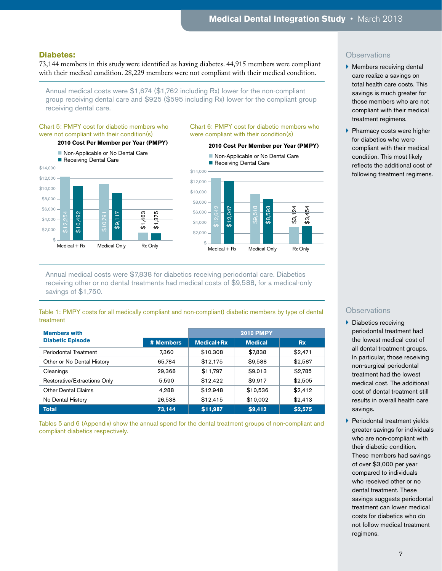#### **Diabetes:**

73,144 members in this study were identified as having diabetes. 44,915 members were compliant with their medical condition. 28,229 members were not compliant with their medical condition.

Annual medical costs were \$1,674 (\$1,762 including Rx) lower for the non-compliant group receiving dental care and \$925 (\$595 including Rx) lower for the compliant group receiving dental care.

#### Chart 5: PMPY cost for diabetic members who were not compliant with their condition(s)

#### **2010 Cost Per Member per Year (PMPY)**

Non-Applicable or No Dental Care Receiving Dental Care





Chart 6: PMPY cost for diabetic members who

were compliant with their condition(s)

# Annual medical costs were \$7,838 for diabetics receiving periodontal care. Diabetics receiving other or no dental treatments had medical costs of \$9,588, for a medical-only savings of \$1,750.

Table 1: PMPY costs for all medically compliant and non-compliant) diabetic members by type of dental treatment

| <b>Members with</b>          |           | <b>2010 PMPY</b> |                |           |  |  |
|------------------------------|-----------|------------------|----------------|-----------|--|--|
| <b>Diabetic Episode</b>      | # Members | Medical+Rx       | <b>Medical</b> | <b>Rx</b> |  |  |
| Periodontal Treatment        | 7.360     | \$10,308         | \$7,838        | \$2,471   |  |  |
| Other or No Dental History   | 65.784    | \$12,175         | \$9,588        | \$2,587   |  |  |
| Cleanings                    | 29.368    | \$11,797         | \$9,013        | \$2,785   |  |  |
| Restorative/Extractions Only | 5.590     | \$12,422         | \$9.917        | \$2,505   |  |  |
| <b>Other Dental Claims</b>   | 4,288     | \$12,948         | \$10,536       | \$2,412   |  |  |
| No Dental History            | 26,538    | \$12,415         | \$10,002       | \$2,413   |  |  |
| <b>Total</b>                 | 73.144    | \$11,987         | \$9,412        | \$2,575   |  |  |

Tables 5 and 6 (Appendix) show the annual spend for the dental treatment groups of non-compliant and compliant diabetics respectively.

# **Observations**

- **Members receiving dental** care realize a savings on total health care costs. This savings is much greater for those members who are not compliant with their medical treatment regimens.
- **Pharmacy costs were higher** for diabetics who were compliant with their medical condition. This most likely reflects the additional cost of following treatment regimens.

- $\blacktriangleright$  Diabetics receiving periodontal treatment had the lowest medical cost of all dental treatment groups. In particular, those receiving non-surgical periodontal treatment had the lowest medical cost. The additional cost of dental treatment still results in overall health care savings.
- **Periodontal treatment yields** greater savings for individuals who are non-compliant with their diabetic condition. These members had savings of over \$3,000 per year compared to individuals who received other or no dental treatment. These savings suggests periodontal treatment can lower medical costs for diabetics who do not follow medical treatment regimens.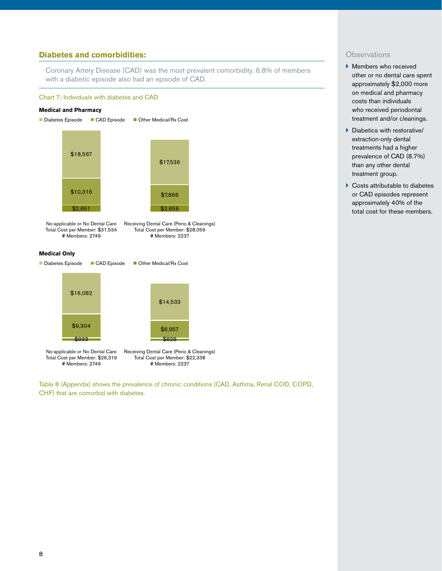# **Diabetes and comorbidities:**

Coronary Artery Disease (CAD) was the most prevalent comorbidity. 6.8% of members with a diabetic episode also had an episode of CAD.

#### Chart 7: Individuals with diabetes and CAD

#### **Medical and Pharmacy**



No-applicable or No Dental Care Total Cost per Member: \$31,534 # Members: 2749 Receiving Dental Care (Perio & Cleanings) Total Cost per Member: \$28,059 # Members: 2237

#### **Medical Only**



Table 8 (Appendix) shows the prevalence of chronic conditions (CAD, Asthma, Renal COD, COPD, CHF) that are comorbid with diabetes.

- ▶ Members who received other or no dental care spent approximately \$2,000 more on medical and pharmacy costs than individuals who received periodontal treatment and/or cleanings.
- } Diabetics with restorative/ extraction-only dental treatments had a higher prevalence of CAD (8.7%) than any other dental treatment group.
- ▶ Costs attributable to diabetes or CAD episodes represent approximately 40% of the total cost for these members.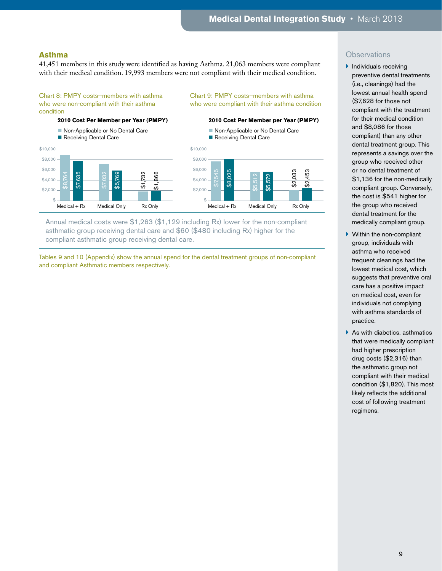# **Asthma**

41,451 members in this study were identified as having Asthma. 21,063 members were compliant with their medical condition. 19,993 members were not compliant with their medical condition.

#### Chart 8: PMPY costs—members with asthma who were non-compliant with their asthma condition

#### **2010 Cost Per Member per Year (PMPY)**



#### Chart 9: PMPY costs—members with asthma who were compliant with their asthma condition

#### **2010 Cost Per Member per Year (PMPY)**





Annual medical costs were \$1,263 (\$1,129 including Rx) lower for the non-compliant asthmatic group receiving dental care and \$60 (\$480 including Rx) higher for the compliant asthmatic group receiving dental care.

Tables 9 and 10 (Appendix) show the annual spend for the dental treatment groups of non-compliant and compliant Asthmatic members respectively.

- $\blacktriangleright$  Individuals receiving preventive dental treatments (i.e., cleanings) had the lowest annual health spend (\$7,628 for those not compliant with the treatment for their medical condition and \$8,086 for those compliant) than any other dental treatment group. This represents a savings over the group who received other or no dental treatment of \$1,136 for the non-medically compliant group. Conversely, the cost is \$541 higher for the group who received dental treatment for the medically compliant group.
- } Within the non-compliant group, individuals with asthma who received frequent cleanings had the lowest medical cost, which suggests that preventive oral care has a positive impact on medical cost, even for individuals not complying with asthma standards of practice.
- $\blacktriangleright$  As with diabetics, asthmatics that were medically compliant had higher prescription drug costs (\$2,316) than the asthmatic group not compliant with their medical condition (\$1,820). This most likely reflects the additional cost of following treatment regimens.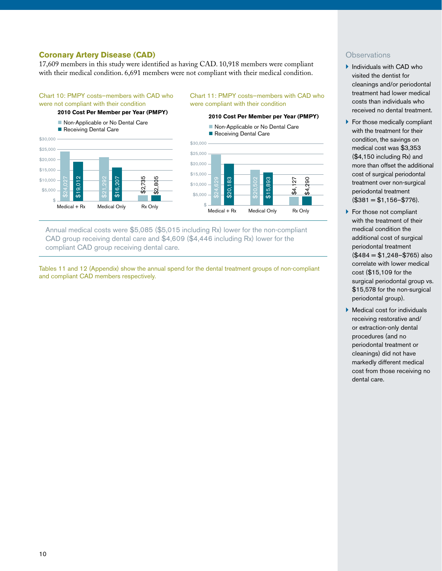# **Coronary Artery Disease (CAD)**

17,609 members in this study were identified as having CAD. 10,918 members were compliant with their medical condition. 6,691 members were not compliant with their medical condition.

# Chart 10: PMPY costs—members with CAD who were not compliant with their condition

# **2010 Cost Per Member per Year (PMPY)**

Non-Applicable or No Dental Care





Non-Applicable or No Dental Care

Chart 11: PMPY costs—members with CAD who

**2010 Cost Per Member per Year (PMPY)**

were compliant with their condition

Annual medical costs were \$5,085 (\$5,015 including Rx) lower for the non-compliant CAD group receiving dental care and \$4,609 (\$4,446 including Rx) lower for the compliant CAD group receiving dental care.

Tables 11 and 12 (Appendix) show the annual spend for the dental treatment groups of non-compliant and compliant CAD members respectively.

- $\blacktriangleright$  Individuals with CAD who visited the dentist for cleanings and/or periodontal treatment had lower medical costs than individuals who received no dental treatment.
- $\blacktriangleright$  For those medically compliant with the treatment for their condition, the savings on medical cost was \$3,353 (\$4,150 including Rx) and more than offset the additional cost of surgical periodontal treatment over non-surgical periodontal treatment  $($381 = $1,156 - $776)$ .
- ▶ For those not compliant with the treatment of their medical condition the additional cost of surgical periodontal treatment  $($484 = $1.248 - $765)$  also correlate with lower medical cost (\$15,109 for the surgical periodontal group vs. \$15,578 for the non-surgical periodontal group).
- $\blacktriangleright$  Medical cost for individuals receiving restorative and/ or extraction-only dental procedures (and no periodontal treatment or cleanings) did not have markedly different medical cost from those receiving no dental care.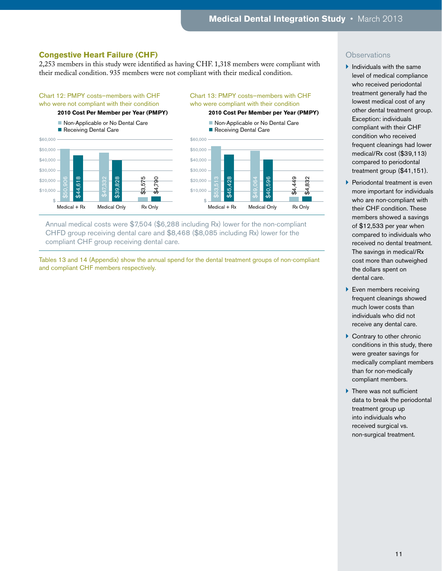# **Congestive Heart Failure (CHF)**

2,253 members in this study were identified as having CHF. 1,318 members were compliant with their medical condition. 935 members were not compliant with their medical condition.

#### Chart 12: PMPY costs—members with CHF who were not compliant with their condition

#### **2010 Cost Per Member per Year (PMPY)**

Non-Applicable or No Dental Care Receiving Dental Care



# Chart 13: PMPY costs—members with CHF who were compliant with their condition

**2010 Cost Per Member per Year (PMPY)**

Non-Applicable or No Dental Care Receiving Dental Care



Annual medical costs were \$7,504 (\$6,288 including Rx) lower for the non-compliant CHFD group receiving dental care and \$8,468 (\$8,085 including Rx) lower for the compliant CHF group receiving dental care.

Tables 13 and 14 (Appendix) show the annual spend for the dental treatment groups of non-compliant and compliant CHF members respectively.

- $\blacktriangleright$  Individuals with the same level of medical compliance who received periodontal treatment generally had the lowest medical cost of any other dental treatment group. Exception: individuals compliant with their CHF condition who received frequent cleanings had lower medical/Rx cost (\$39,113) compared to periodontal treatment group (\$41,151).
- **Periodontal treatment is even** more important for individuals who are non-compliant with their CHF condition. These members showed a savings of \$12,533 per year when compared to individuals who received no dental treatment. The savings in medical/Rx cost more than outweighed the dollars spent on dental care.
- **Even members receiving** frequent cleanings showed much lower costs than individuals who did not receive any dental care.
- ▶ Contrary to other chronic conditions in this study, there were greater savings for medically compliant members than for non-medically compliant members.
- $\blacktriangleright$  There was not sufficient data to break the periodontal treatment group up into individuals who received surgical vs. non-surgical treatment.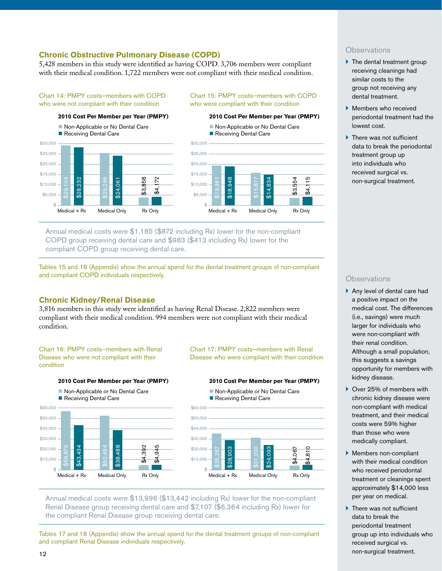# **Chronic Obstructive Pulmonary Disease (COPD)**

5,428 members in this study were identified as having COPD. 3,706 members were compliant with their medical condition. 1,722 members were not compliant with their medical condition.

#### Chart 14: PMPY costs—members with COPD who were not compliant with their condition

#### \$30,000 \$25,000 \$20,000 \$15,000 \$10,000 \$5,000 \$ \$28,232 \$25,246 \$24,061 \$3,858 \$4,172 Medical + Rx Medical Only Rx Only **2010 Cost Per Member per Year (PMPY)** Non-Applicable or No Dental Care Receiving Dental Care

# Chart 15: PMPY costs—members with COPD who were compliant with their condition

#### **2010 Cost Per Member per Year (PMPY)**

Non-Applicable or No Dental Care Receiving Dental Care



Annual medical costs were \$1,185 (\$872 including Rx) lower for the non-compliant COPD group receiving dental care and \$983 (\$413 including Rx) lower for the compliant COPD group receiving dental care.

Tables 15 and 16 (Appendix) show the annual spend for the dental treatment groups of non-compliant and compliant COPD individuals respectively.

# **Chronic Kidney/Renal Disease**

3,816 members in this study were identified as having Renal Disease. 2,822 members were compliant with their medical condition. 994 members were not compliant with their medical condition.

#### Chart 16: PMPY costs—members with Renal Disease who were not compliant with their condition



Chart 17: PMPY costs—members with Renal Disease who were compliant with their condition

#### **2010 Cost Per Member per Year (PMPY)**

 $$60,000$ \$50,000 \$40,000 \$30,000 \$20,000 \$10,000  $\overline{\textbf{q}}$ \$28,903 \$24,093 \$4,067  $\overline{\omega}$ Non-Applicable or No Dental Care Receiving Dental Care

 $Medical + Rx$  Medical Only Rx Only

Annual medical costs were \$13,996 (\$13,442 including Rx) lower for the non-compliant Renal Disease group receiving dental care and \$7,107 (\$6,364 including Rx) lower for the compliant Renal Disease group receiving dental care.

Tables 17 and 18 (Appendix) show the annual spend for the dental treatment groups of non-compliant and compliant Renal Disease individuals respectively.

# **Observations**

- $\blacktriangleright$  The dental treatment group receiving cleanings had similar costs to the group not receiving any dental treatment.
- } Members who received periodontal treatment had the lowest cost.
- $\blacktriangleright$  There was not sufficient data to break the periodontal treatment group up into individuals who received surgical vs. non-surgical treatment.

- } Any level of dental care had a positive impact on the medical cost. The differences (i.e., savings) were much larger for individuals who were non-compliant with their renal condition. Although a small population, this suggests a savings opportunity for members with kidney disease.
- ▶ Over 25% of members with chronic kidney disease were non-compliant with medical treatment, and their medical costs were 59% higher than those who were medically compliant.
- } Members non-compliant with their medical condition who received periodontal treatment or cleanings spent approximately \$14,000 less per year on medical.
- 12 and the contract of the contract of the contract of the contract of the contract of the contract of the contract of the contract of the contract of the contract of the contract of the contract of the contract of the con  $\blacktriangleright$  There was not sufficient data to break the periodontal treatment group up into individuals who received surgical vs. non-surgical treatment.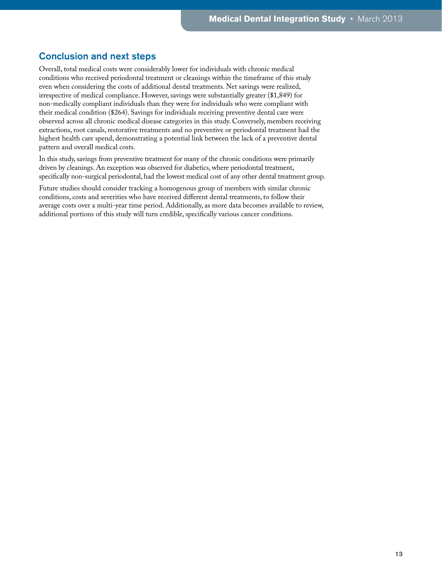# Conclusion and next steps

Overall, total medical costs were considerably lower for individuals with chronic medical conditions who received periodontal treatment or cleanings within the timeframe of this study even when considering the costs of additional dental treatments. Net savings were realized, irrespective of medical compliance. However, savings were substantially greater (\$1,849) for non-medically compliant individuals than they were for individuals who were compliant with their medical condition (\$264). Savings for individuals receiving preventive dental care were observed across all chronic medical disease categories in this study. Conversely, members receiving extractions, root canals, restorative treatments and no preventive or periodontal treatment had the highest health care spend, demonstrating a potential link between the lack of a preventive dental pattern and overall medical costs.

In this study, savings from preventive treatment for many of the chronic conditions were primarily driven by cleanings. An exception was observed for diabetics, where periodontal treatment, specifically non-surgical periodontal, had the lowest medical cost of any other dental treatment group.

Future studies should consider tracking a homogenous group of members with similar chronic conditions, costs and severities who have received different dental treatments, to follow their average costs over a multi-year time period. Additionally, as more data becomes available to review, additional portions of this study will turn credible, specifically various cancer conditions.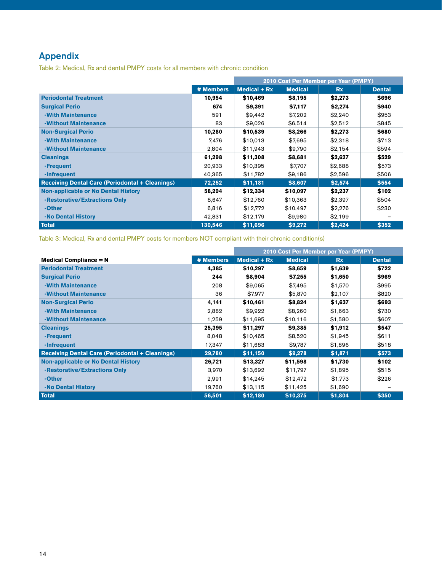# Appendix

Table 2: Medical, Rx and dental PMPY costs for all members with chronic condition

|                                                        |           | 2010 Cost Per Member per Year (PMPY) |                |           |               |
|--------------------------------------------------------|-----------|--------------------------------------|----------------|-----------|---------------|
|                                                        | # Members | Medical $+ Rx$                       | <b>Medical</b> | <b>Rx</b> | <b>Dental</b> |
| <b>Periodontal Treatment</b>                           | 10,954    | \$10,469                             | \$8,195        | \$2,273   | \$696         |
| <b>Surgical Perio</b>                                  | 674       | \$9,391                              | \$7,117        | \$2,274   | \$940         |
| -With Maintenance                                      | 591       | \$9,442                              | \$7.202        | \$2,240   | \$953         |
| -Without Maintenance                                   | 83        | \$9,026                              | \$6,514        | \$2,512   | \$845         |
| <b>Non-Surgical Perio</b>                              | 10,280    | \$10,539                             | \$8,266        | \$2,273   | \$680         |
| -With Maintenance                                      | 7,476     | \$10,013                             | \$7,695        | \$2,318   | \$713         |
| -Without Maintenance                                   | 2,804     | \$11,943                             | \$9,790        | \$2,154   | \$594         |
| <b>Cleanings</b>                                       | 61,298    | \$11,308                             | \$8,681        | \$2,627   | \$529         |
| -Frequent                                              | 20,933    | \$10,395                             | \$7,707        | \$2,688   | \$573         |
| -Infrequent                                            | 40,365    | \$11,782                             | \$9,186        | \$2,596   | \$506         |
| <b>Receiving Dental Care (Periodontal + Cleanings)</b> | 72,252    | \$11,181                             | \$8,607        | \$2,574   | \$554         |
| <b>Non-applicable or No Dental History</b>             | 58,294    | \$12,334                             | \$10,097       | \$2,237   | \$102         |
| -Restorative/Extractions Only                          | 8,647     | \$12,760                             | \$10,363       | \$2,397   | \$504         |
| -Other                                                 | 6,816     | \$12,772                             | \$10,497       | \$2,276   | \$230         |
| -No Dental History                                     | 42,831    | \$12,179                             | \$9,980        | \$2,199   |               |
| Total                                                  | 130,546   | \$11,696                             | \$9,272        | \$2,424   | \$352         |

Table 3: Medical, Rx and dental PMPY costs for members NOT compliant with their chronic condition(s)

|                                                        |           | 2010 Cost Per Member per Year (PMPY) |                |           |               |
|--------------------------------------------------------|-----------|--------------------------------------|----------------|-----------|---------------|
| <b>Medical Compliance = <math>N</math></b>             | # Members | Medical $+ Rx$                       | <b>Medical</b> | <b>Rx</b> | <b>Dental</b> |
| <b>Periodontal Treatment</b>                           | 4,385     | \$10,297                             | \$8,659        | \$1,639   | \$722         |
| <b>Surgical Perio</b>                                  | 244       | \$8,904                              | \$7,255        | \$1,650   | \$969         |
| -With Maintenance                                      | 208       | \$9,065                              | \$7,495        | \$1,570   | \$995         |
| -Without Maintenance                                   | 36        | \$7,977                              | \$5,870        | \$2,107   | \$820         |
| <b>Non-Surgical Perio</b>                              | 4,141     | \$10,461                             | \$8,824        | \$1,637   | \$693         |
| -With Maintenance                                      | 2,882     | \$9,922                              | \$8,260        | \$1,663   | \$730         |
| -Without Maintenance                                   | 1,259     | \$11,695                             | \$10,116       | \$1,580   | \$607         |
| <b>Cleanings</b>                                       | 25,395    | \$11,297                             | \$9,385        | \$1,912   | \$547         |
| -Frequent                                              | 8,048     | \$10,465                             | \$8,520        | \$1,945   | \$611         |
| -Infrequent                                            | 17,347    | \$11,683                             | \$9,787        | \$1,896   | \$518         |
| <b>Receiving Dental Care (Periodontal + Cleanings)</b> | 29,780    | \$11,150                             | \$9,278        | \$1,871   | \$573         |
| <b>Non-applicable or No Dental History</b>             | 26,721    | \$13,327                             | \$11,598       | \$1,730   | \$102         |
| -Restorative/Extractions Only                          | 3,970     | \$13.692                             | \$11,797       | \$1,895   | \$515         |
| -Other                                                 | 2,991     | \$14,245                             | \$12,472       | \$1,773   | \$226         |
| -No Dental History                                     | 19,760    | \$13,115                             | \$11,425       | \$1,690   |               |
| Total                                                  | 56,501    | \$12,180                             | \$10,375       | \$1,804   | \$350         |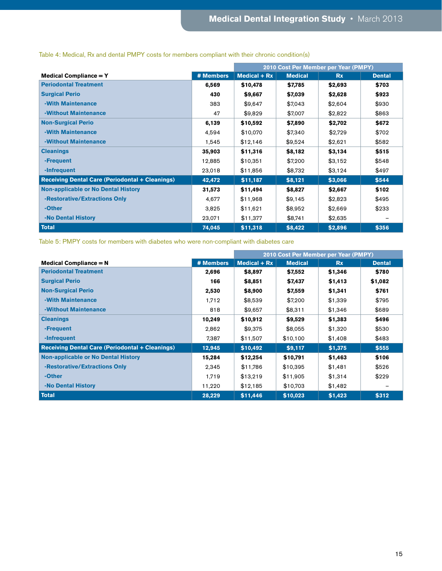|                                                        |           | 2010 Cost Per Member per Year (PMPY) |                |           |               |
|--------------------------------------------------------|-----------|--------------------------------------|----------------|-----------|---------------|
| <b>Medical Compliance = Y</b>                          | # Members | Medical $+ Rx$                       | <b>Medical</b> | <b>Rx</b> | <b>Dental</b> |
| <b>Periodontal Treatment</b>                           | 6,569     | \$10,478                             | \$7,785        | \$2,693   | \$703         |
| <b>Surgical Perio</b>                                  | 430       | \$9,667                              | \$7,039        | \$2,628   | \$923         |
| -With Maintenance                                      | 383       | \$9,647                              | \$7,043        | \$2,604   | \$930         |
| -Without Maintenance                                   | 47        | \$9,829                              | \$7,007        | \$2,822   | \$863         |
| <b>Non-Surgical Perio</b>                              | 6,139     | \$10,592                             | \$7,890        | \$2,702   | \$672         |
| -With Maintenance                                      | 4,594     | \$10,070                             | \$7,340        | \$2.729   | \$702         |
| -Without Maintenance                                   | 1,545     | \$12,146                             | \$9,524        | \$2,621   | \$582         |
| <b>Cleanings</b>                                       | 35,903    | \$11,316                             | \$8,182        | \$3,134   | \$515         |
| -Frequent                                              | 12,885    | \$10,351                             | \$7,200        | \$3,152   | \$548         |
| -Infrequent                                            | 23,018    | \$11,856                             | \$8,732        | \$3,124   | \$497         |
| <b>Receiving Dental Care (Periodontal + Cleanings)</b> | 42,472    | \$11,187                             | \$8,121        | \$3,066   | \$544         |
| <b>Non-applicable or No Dental History</b>             | 31,573    | \$11,494                             | \$8,827        | \$2,667   | \$102         |
| -Restorative/Extractions Only                          | 4,677     | \$11,968                             | \$9,145        | \$2,823   | \$495         |
| -Other                                                 | 3,825     | \$11,621                             | \$8,952        | \$2,669   | \$233         |
| -No Dental History                                     | 23,071    | \$11,377                             | \$8,741        | \$2,635   |               |
| Total                                                  | 74,045    | \$11,318                             | \$8,422        | \$2,896   | \$356         |

# Table 4: Medical, Rx and dental PMPY costs for members compliant with their chronic condition(s)

Table 5: PMPY costs for members with diabetes who were non-compliant with diabetes care

|                                                        |           | 2010 Cost Per Member per Year (PMPY) |                |           |               |
|--------------------------------------------------------|-----------|--------------------------------------|----------------|-----------|---------------|
| <b>Medical Compliance = <math>N</math></b>             | # Members | Medical $+ Rx$                       | <b>Medical</b> | <b>Rx</b> | <b>Dental</b> |
| <b>Periodontal Treatment</b>                           | 2,696     | \$8,897                              | \$7,552        | \$1,346   | \$780         |
| <b>Surgical Perio</b>                                  | 166       | \$8,851                              | \$7,437        | \$1,413   | \$1,082       |
| <b>Non-Surgical Perio</b>                              | 2,530     | \$8,900                              | \$7,559        | \$1,341   | \$761         |
| -With Maintenance                                      | 1.712     | \$8,539                              | \$7,200        | \$1,339   | \$795         |
| -Without Maintenance                                   | 818       | \$9,657                              | \$8,311        | \$1,346   | \$689         |
| <b>Cleanings</b>                                       | 10,249    | \$10,912                             | \$9,529        | \$1,383   | \$496         |
| -Frequent                                              | 2,862     | \$9,375                              | \$8,055        | \$1,320   | \$530         |
| -Infrequent                                            | 7,387     | \$11,507                             | \$10,100       | \$1,408   | \$483         |
| <b>Receiving Dental Care (Periodontal + Cleanings)</b> | 12,945    | \$10,492                             | \$9,117        | \$1,375   | \$555         |
| <b>Non-applicable or No Dental History</b>             | 15,284    | \$12,254                             | \$10,791       | \$1,463   | \$106         |
| -Restorative/Extractions Only                          | 2,345     | \$11,786                             | \$10,395       | \$1,481   | \$526         |
| -Other                                                 | 1.719     | \$13,219                             | \$11,905       | \$1,314   | \$229         |
| -No Dental History                                     | 11,220    | \$12,185                             | \$10,703       | \$1,482   |               |
| <b>Total</b>                                           | 28,229    | \$11,446                             | \$10,023       | \$1,423   | \$312         |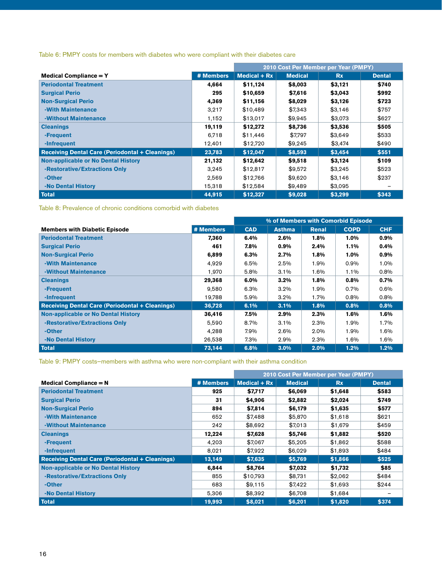Table 6: PMPY costs for members with diabetes who were compliant with their diabetes care

|                                                        |           | 2010 Cost Per Member per Year (PMPY) |                |           |               |
|--------------------------------------------------------|-----------|--------------------------------------|----------------|-----------|---------------|
| <b>Medical Compliance = Y</b>                          | # Members | Medical $+ Rx$                       | <b>Medical</b> | <b>Rx</b> | <b>Dental</b> |
| <b>Periodontal Treatment</b>                           | 4.664     | \$11.124                             | \$8,003        | \$3,121   | \$740         |
| <b>Surgical Perio</b>                                  | 295       | \$10,659                             | \$7,616        | \$3,043   | \$992         |
| <b>Non-Surgical Perio</b>                              | 4,369     | \$11,156                             | \$8,029        | \$3,126   | \$723         |
| -With Maintenance                                      | 3,217     | \$10.489                             | \$7,343        | \$3.146   | \$757         |
| -Without Maintenance                                   | 1,152     | \$13,017                             | \$9,945        | \$3,073   | \$627         |
| <b>Cleanings</b>                                       | 19,119    | \$12,272                             | \$8,736        | \$3,536   | \$505         |
| -Frequent                                              | 6,718     | \$11,446                             | \$7,797        | \$3.649   | \$533         |
| -Infrequent                                            | 12,401    | \$12,720                             | \$9,245        | \$3,474   | \$490         |
| <b>Receiving Dental Care (Periodontal + Cleanings)</b> | 23,783    | \$12,047                             | \$8,593        | \$3,454   | \$551         |
| <b>Non-applicable or No Dental History</b>             | 21,132    | \$12,642                             | \$9,518        | \$3,124   | \$109         |
| -Restorative/Extractions Only                          | 3,245     | \$12,817                             | \$9,572        | \$3,245   | \$523         |
| -Other                                                 | 2,569     | \$12,766                             | \$9,620        | \$3.146   | \$237         |
| -No Dental History                                     | 15,318    | \$12,584                             | \$9,489        | \$3,095   |               |
| <b>Total</b>                                           | 44,915    | \$12,327                             | \$9,028        | \$3,299   | \$343         |

Table 8: Prevalence of chronic conditions comorbid with diabetes

|                                                        |           | % of Members with Comorbid Episode |               |       |             |            |
|--------------------------------------------------------|-----------|------------------------------------|---------------|-------|-------------|------------|
| <b>Members with Diabetic Episode</b>                   | # Members | <b>CAD</b>                         | <b>Asthma</b> | Renal | <b>COPD</b> | <b>CHF</b> |
| <b>Periodontal Treatment</b>                           | 7.360     | 6.4%                               | 2.6%          | 1.8%  | 1.0%        | 0.9%       |
| <b>Surgical Perio</b>                                  | 461       | 7.8%                               | $0.9\%$       | 2.4%  | 1.1%        | 0.4%       |
| <b>Non-Surgical Perio</b>                              | 6,899     | 6.3%                               | 2.7%          | 1.8%  | 1.0%        | $0.9\%$    |
| -With Maintenance                                      | 4,929     | 6.5%                               | 2.5%          | 1.9%  | $0.9\%$     | 1.0%       |
| -Without Maintenance                                   | 1.970     | 5.8%                               | 3.1%          | 1.6%  | 1.1%        | 0.8%       |
| <b>Cleanings</b>                                       | 29,368    | 6.0%                               | 3.2%          | 1.8%  | 0.8%        | 0.7%       |
| -Frequent                                              | 9.580     | 6.3%                               | $3.2\%$       | 1.9%  | $0.7\%$     | $0.6\%$    |
| -Infrequent                                            | 19,788    | 5.9%                               | $3.2\%$       | 1.7%  | $0.8\%$     | $0.8\%$    |
| <b>Receiving Dental Care (Periodontal + Cleanings)</b> | 36,728    | 6.1%                               | 3.1%          | 1.8%  | 0.8%        | 0.8%       |
| <b>Non-applicable or No Dental History</b>             | 36,416    | 7.5%                               | 2.9%          | 2.3%  | 1.6%        | 1.6%       |
| -Restorative/Extractions Only                          | 5.590     | 8.7%                               | 3.1%          | 2.3%  | 1.9%        | 1.7%       |
| -Other                                                 | 4.288     | 7.9%                               | 2.6%          | 2.0%  | 1.9%        | 1.6%       |
| -No Dental History                                     | 26,538    | 7.3%                               | 2.9%          | 2.3%  | 1.6%        | 1.6%       |
| Total                                                  | 73,144    | 6.8%                               | $3.0\%$       | 2.0%  | 1.2%        | 1.2%       |

Table 9: PMPY costs—members with asthma who were non-compliant with their asthma condition

|                                                        |           | 2010 Cost Per Member per Year (PMPY) |                |           |               |
|--------------------------------------------------------|-----------|--------------------------------------|----------------|-----------|---------------|
| <b>Medical Compliance = <math>N</math></b>             | # Members | Medical $+ Rx$                       | <b>Medical</b> | <b>Rx</b> | <b>Dental</b> |
| <b>Periodontal Treatment</b>                           | 925       | \$7,717                              | \$6,069        | \$1,648   | \$583         |
| <b>Surgical Perio</b>                                  | 31        | \$4,906                              | \$2,882        | \$2,024   | \$749         |
| <b>Non-Surgical Perio</b>                              | 894       | \$7,814                              | \$6,179        | \$1,635   | \$577         |
| -With Maintenance                                      | 652       | \$7,488                              | \$5,870        | \$1,618   | \$621         |
| -Without Maintenance                                   | 242       | \$8.692                              | \$7,013        | \$1.679   | \$459         |
| <b>Cleanings</b>                                       | 12,224    | \$7,628                              | \$5,746        | \$1,882   | \$520         |
| -Frequent                                              | 4,203     | \$7.067                              | \$5,205        | \$1,862   | \$588         |
| -Infrequent                                            | 8.021     | \$7,922                              | \$6,029        | \$1,893   | \$484         |
| <b>Receiving Dental Care (Periodontal + Cleanings)</b> | 13,149    | \$7,635                              | \$5,769        | \$1,866   | \$525         |
| <b>Non-applicable or No Dental History</b>             | 6.844     | \$8,764                              | \$7,032        | \$1,732   | \$85          |
| -Restorative/Extractions Only                          | 855       | \$10.793                             | \$8,731        | \$2,062   | \$484         |
| -Other                                                 | 683       | \$9,115                              | \$7,422        | \$1,693   | \$244         |
| -No Dental History                                     | 5,306     | \$8,392                              | \$6,708        | \$1,684   |               |
| <b>Total</b>                                           | 19.993    | \$8,021                              | \$6,201        | \$1,820   | \$374         |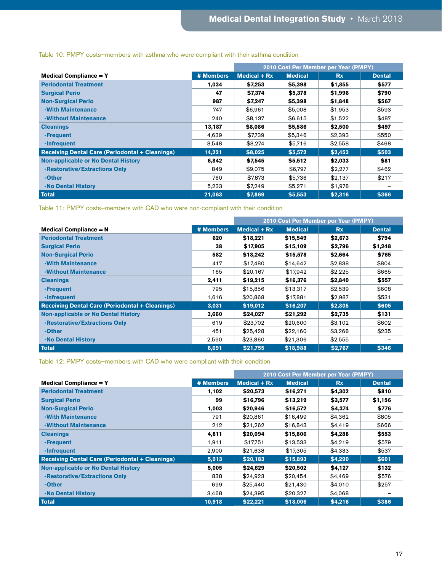|                                                        |           | 2010 Cost Per Member per Year (PMPY) |                |           |               |
|--------------------------------------------------------|-----------|--------------------------------------|----------------|-----------|---------------|
| <b>Medical Compliance = Y</b>                          | # Members | Medical $+ Rx$                       | <b>Medical</b> | <b>Rx</b> | <b>Dental</b> |
| <b>Periodontal Treatment</b>                           | 1,034     | \$7,253                              | \$5,398        | \$1,855   | \$577         |
| <b>Surgical Perio</b>                                  | 47        | \$7,374                              | \$5,378        | \$1,996   | \$790         |
| <b>Non-Surgical Perio</b>                              | 987       | \$7,247                              | \$5,398        | \$1,848   | \$567         |
| -With Maintenance                                      | 747       | \$6.961                              | \$5,008        | \$1,953   | \$593         |
| -Without Maintenance                                   | 240       | \$8,137                              | \$6.615        | \$1,522   | \$487         |
| <b>Cleanings</b>                                       | 13,187    | \$8,086                              | \$5,586        | \$2,500   | \$497         |
| -Frequent                                              | 4.639     | \$7.739                              | \$5.346        | \$2,393   | \$550         |
| -Infrequent                                            | 8,548     | \$8,274                              | \$5.716        | \$2,558   | \$468         |
| <b>Receiving Dental Care (Periodontal + Cleanings)</b> | 14,221    | \$8,025                              | \$5,572        | \$2,453   | \$503         |
| <b>Non-applicable or No Dental History</b>             | 6,842     | \$7,545                              | \$5,512        | \$2,033   | \$81          |
| -Restorative/Extractions Only                          | 849       | \$9,075                              | \$6,797        | \$2,277   | \$462         |
| -Other                                                 | 760       | \$7,873                              | \$5,736        | \$2,137   | \$217         |
| -No Dental History                                     | 5,233     | \$7,249                              | \$5,271        | \$1,978   |               |
| <b>Total</b>                                           | 21,063    | \$7,869                              | \$5,553        | \$2,316   | \$366         |

# Table 10: PMPY costs—members with asthma who were compliant with their asthma condition

Table 11: PMPY costs—members with CAD who were non-compliant with their condition

|                                                        |           | 2010 Cost Per Member per Year (PMPY) |                |           |               |
|--------------------------------------------------------|-----------|--------------------------------------|----------------|-----------|---------------|
| <b>Medical Compliance <math>= N</math></b>             | # Members | Medical $+ Rx$                       | <b>Medical</b> | <b>Rx</b> | <b>Dental</b> |
| <b>Periodontal Treatment</b>                           | 620       | \$18,221                             | \$15,549       | \$2,673   | \$794         |
| <b>Surgical Perio</b>                                  | 38        | \$17,905                             | \$15,109       | \$2,796   | \$1,248       |
| <b>Non-Surgical Perio</b>                              | 582       | \$18,242                             | \$15,578       | \$2,664   | \$765         |
| -With Maintenance                                      | 417       | \$17.480                             | \$14.642       | \$2,838   | \$804         |
| -Without Maintenance                                   | 165       | \$20.167                             | \$17.942       | \$2,225   | \$665         |
| <b>Cleanings</b>                                       | 2,411     | \$19,215                             | \$16,376       | \$2,840   | \$557         |
| -Frequent                                              | 795       | \$15,856                             | \$13,317       | \$2,539   | \$608         |
| -Infrequent                                            | 1,616     | \$20,868                             | \$17,881       | \$2,987   | \$531         |
| <b>Receiving Dental Care (Periodontal + Cleanings)</b> | 3,031     | \$19,012                             | \$16,207       | \$2,805   | \$605         |
| <b>Non-applicable or No Dental History</b>             | 3,660     | \$24,027                             | \$21,292       | \$2,735   | \$131         |
| -Restorative/Extractions Only                          | 619       | \$23,702                             | \$20,600       | \$3,102   | \$602         |
| -Other                                                 | 451       | \$25,428                             | \$22,160       | \$3,268   | \$235         |
| -No Dental History                                     | 2,590     | \$23,860                             | \$21,306       | \$2,555   |               |
| <b>Total</b>                                           | 6,691     | \$21,755                             | \$18,988       | \$2,767   | \$346         |

Table 12: PMPY costs—members with CAD who were compliant with their condition

|                                                        |           | 2010 Cost Per Member per Year (PMPY) |                |           |               |
|--------------------------------------------------------|-----------|--------------------------------------|----------------|-----------|---------------|
| Medical Compliance $= Y$                               | # Members | Medical $+ Rx$                       | <b>Medical</b> | <b>Rx</b> | <b>Dental</b> |
| <b>Periodontal Treatment</b>                           | 1.102     | \$20,573                             | \$16,271       | \$4,302   | \$810         |
| <b>Surgical Perio</b>                                  | 99        | \$16,796                             | \$13,219       | \$3,577   | \$1,156       |
| <b>Non-Surgical Perio</b>                              | 1,003     | \$20,946                             | \$16,572       | \$4,374   | \$776         |
| -With Maintenance                                      | 791       | \$20,861                             | \$16,499       | \$4,362   | \$805         |
| -Without Maintenance                                   | 212       | \$21,262                             | \$16,843       | \$4,419   | \$666         |
| <b>Cleanings</b>                                       | 4,811     | \$20,094                             | \$15,806       | \$4,288   | \$553         |
| -Frequent                                              | 1,911     | \$17,751                             | \$13,533       | \$4,219   | \$579         |
| -Infrequent                                            | 2,900     | \$21,638                             | \$17,305       | \$4,333   | \$537         |
| <b>Receiving Dental Care (Periodontal + Cleanings)</b> | 5,913     | \$20,183                             | \$15,893       | \$4,290   | \$601         |
| <b>Non-applicable or No Dental History</b>             | 5,005     | \$24,629                             | \$20,502       | \$4,127   | \$132         |
| -Restorative/Extractions Only                          | 838       | \$24,923                             | \$20.454       | \$4,469   | \$576         |
| -Other                                                 | 699       | \$25,440                             | \$21,430       | \$4,010   | \$257         |
| -No Dental History                                     | 3,468     | \$24,395                             | \$20,327       | \$4,068   |               |
| <b>Total</b>                                           | 10,918    | \$22,221                             | \$18,006       | \$4,216   | \$386         |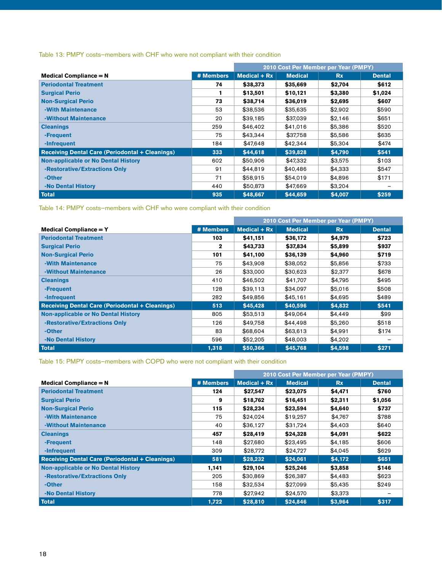# Table 13: PMPY costs—members with CHF who were not compliant with their condition

|                                                        |           | 2010 Cost Per Member per Year (PMPY) |                |           |               |
|--------------------------------------------------------|-----------|--------------------------------------|----------------|-----------|---------------|
| <b>Medical Compliance = <math>N</math></b>             | # Members | Medical $+ Rx$                       | <b>Medical</b> | <b>Rx</b> | <b>Dental</b> |
| <b>Periodontal Treatment</b>                           | 74        | \$38,373                             | \$35,669       | \$2,704   | \$612         |
| <b>Surgical Perio</b>                                  |           | \$13,501                             | \$10,121       | \$3,380   | \$1,024       |
| <b>Non-Surgical Perio</b>                              | 73        | \$38,714                             | \$36,019       | \$2,695   | \$607         |
| -With Maintenance                                      | 53        | \$38,536                             | \$35,635       | \$2.902   | \$590         |
| -Without Maintenance                                   | 20        | \$39.185                             | \$37,039       | \$2.146   | \$651         |
| <b>Cleanings</b>                                       | 259       | \$46,402                             | \$41,016       | \$5,386   | \$520         |
| -Frequent                                              | 75        | \$43.344                             | \$37,758       | \$5,586   | \$635         |
| -Infrequent                                            | 184       | \$47,648                             | \$42,344       | \$5,304   | \$474         |
| <b>Receiving Dental Care (Periodontal + Cleanings)</b> | 333       | \$44,618                             | \$39,828       | \$4.790   | \$541         |
| <b>Non-applicable or No Dental History</b>             | 602       | \$50,906                             | \$47,332       | \$3,575   | \$103         |
| -Restorative/Extractions Only                          | 91        | \$44.819                             | \$40.486       | \$4,333   | \$547         |
| -Other                                                 | 71        | \$58,915                             | \$54,019       | \$4,896   | \$171         |
| -No Dental History                                     | 440       | \$50,873                             | \$47,669       | \$3,204   |               |
| Total                                                  | 935       | \$48,667                             | \$44.659       | \$4,007   | \$259         |

Table 14: PMPY costs—members with CHF who were compliant with their condition

|                                                        |           | 2010 Cost Per Member per Year (PMPY) |                |           |               |
|--------------------------------------------------------|-----------|--------------------------------------|----------------|-----------|---------------|
| Medical Compliance $= Y$                               | # Members | Medical $+ Rx$                       | <b>Medical</b> | <b>Rx</b> | <b>Dental</b> |
| <b>Periodontal Treatment</b>                           | 103       | \$41,151                             | \$36,172       | \$4,979   | \$723         |
| <b>Surgical Perio</b>                                  | 2         | \$43,733                             | \$37,834       | \$5,899   | \$937         |
| <b>Non-Surgical Perio</b>                              | 101       | \$41,100                             | \$36,139       | \$4,960   | \$719         |
| -With Maintenance                                      | 75        | \$43,908                             | \$38,052       | \$5,856   | \$733         |
| -Without Maintenance                                   | 26        | \$33,000                             | \$30,623       | \$2,377   | \$678         |
| <b>Cleanings</b>                                       | 410       | \$46,502                             | \$41,707       | \$4,795   | \$495         |
| -Frequent                                              | 128       | \$39,113                             | \$34.097       | \$5,016   | \$508         |
| -Infrequent                                            | 282       | \$49,856                             | \$45,161       | \$4,695   | \$489         |
| <b>Receiving Dental Care (Periodontal + Cleanings)</b> | 513       | \$45,428                             | \$40,596       | \$4,832   | \$541         |
| <b>Non-applicable or No Dental History</b>             | 805       | \$53,513                             | \$49.064       | \$4,449   | \$99          |
| -Restorative/Extractions Only                          | 126       | \$49.758                             | \$44,498       | \$5,260   | \$518         |
| -Other                                                 | 83        | \$68,604                             | \$63,613       | \$4,991   | \$174         |
| -No Dental History                                     | 596       | \$52,205                             | \$48,003       | \$4,202   |               |
| Total                                                  | 1,318     | \$50,366                             | \$45,768       | \$4,598   | \$271         |

Table 15: PMPY costs—members with COPD who were not compliant with their condition

|                                                        |           | 2010 Cost Per Member per Year (PMPY) |                |           |               |
|--------------------------------------------------------|-----------|--------------------------------------|----------------|-----------|---------------|
| <b>Medical Compliance = <math>N</math></b>             | # Members | Medical $+ Rx$                       | <b>Medical</b> | <b>Rx</b> | <b>Dental</b> |
| <b>Periodontal Treatment</b>                           | 124       | \$27.547                             | \$23,075       | \$4,471   | \$760         |
| <b>Surgical Perio</b>                                  | 9         | \$18,762                             | \$16,451       | \$2,311   | \$1,056       |
| <b>Non-Surgical Perio</b>                              | 115       | \$28,234                             | \$23,594       | \$4,640   | \$737         |
| -With Maintenance                                      | 75        | \$24.024                             | \$19.257       | \$4,767   | \$788         |
| -Without Maintenance                                   | 40        | \$36,127                             | \$31,724       | \$4,403   | \$640         |
| <b>Cleanings</b>                                       | 457       | \$28,419                             | \$24,328       | \$4,091   | \$622         |
| -Frequent                                              | 148       | \$27,680                             | \$23,495       | \$4,185   | \$606         |
| -Infrequent                                            | 309       | \$28.772                             | \$24,727       | \$4.045   | \$629         |
| <b>Receiving Dental Care (Periodontal + Cleanings)</b> | 581       | \$28,232                             | \$24,061       | \$4,172   | \$651         |
| <b>Non-applicable or No Dental History</b>             | 1,141     | \$29,104                             | \$25,246       | \$3,858   | \$146         |
| -Restorative/Extractions Only                          | 205       | \$30,869                             | \$26,387       | \$4,483   | \$623         |
| -Other                                                 | 158       | \$32,534                             | \$27,099       | \$5,435   | \$249         |
| -No Dental History                                     | 778       | \$27.942                             | \$24,570       | \$3,373   |               |
| <b>Total</b>                                           | 1,722     | \$28,810                             | \$24,846       | \$3,964   | \$317         |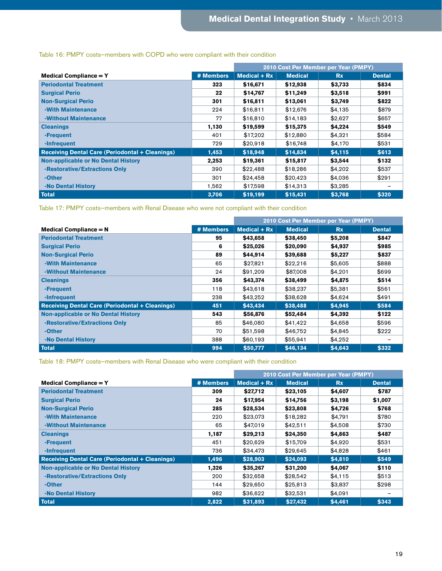|                                                        |           | 2010 Cost Per Member per Year (PMPY) |                |           |               |
|--------------------------------------------------------|-----------|--------------------------------------|----------------|-----------|---------------|
| <b>Medical Compliance = Y</b>                          | # Members | Medical $+ Rx$                       | <b>Medical</b> | <b>Rx</b> | <b>Dental</b> |
| <b>Periodontal Treatment</b>                           | 323       | \$16,671                             | \$12,938       | \$3,733   | \$834         |
| <b>Surgical Perio</b>                                  | 22        | \$14,767                             | \$11,249       | \$3,518   | \$991         |
| <b>Non-Surgical Perio</b>                              | 301       | \$16,811                             | \$13,061       | \$3,749   | \$822         |
| -With Maintenance                                      | 224       | \$16.811                             | \$12,676       | \$4,135   | \$879         |
| -Without Maintenance                                   | 77        | \$16,810                             | \$14,183       | \$2,627   | \$657         |
| <b>Cleanings</b>                                       | 1,130     | \$19,599                             | \$15,375       | \$4,224   | \$549         |
| -Frequent                                              | 401       | \$17.202                             | \$12,880       | \$4,321   | \$584         |
| -Infrequent                                            | 729       | \$20.918                             | \$16,748       | \$4,170   | \$531         |
| <b>Receiving Dental Care (Periodontal + Cleanings)</b> | 1,453     | \$18,948                             | \$14,834       | \$4,115   | \$613         |
| <b>Non-applicable or No Dental History</b>             | 2,253     | \$19,361                             | \$15,817       | \$3,544   | \$132         |
| -Restorative/Extractions Only                          | 390       | \$22,488                             | \$18,286       | \$4,202   | \$537         |
| -Other                                                 | 301       | \$24.458                             | \$20.423       | \$4.036   | \$291         |
| -No Dental History                                     | 1,562     | \$17,598                             | \$14,313       | \$3,285   |               |
| <b>Total</b>                                           | 3,706     | \$19,199                             | \$15,431       | \$3,768   | \$320         |

# Table 16: PMPY costs—members with COPD who were compliant with their condition

Table 17: PMPY costs—members with Renal Disease who were not compliant with their condition

|                                                        |           | 2010 Cost Per Member per Year (PMPY) |                |           |               |
|--------------------------------------------------------|-----------|--------------------------------------|----------------|-----------|---------------|
| <b>Medical Compliance = <math>N</math></b>             | # Members | Medical $+ Rx$                       | <b>Medical</b> | <b>Rx</b> | <b>Dental</b> |
| <b>Periodontal Treatment</b>                           | 95        | \$43,658                             | \$38,450       | \$5,208   | \$847         |
| <b>Surgical Perio</b>                                  | 6         | \$25,026                             | \$20,090       | \$4,937   | \$985         |
| <b>Non-Surgical Perio</b>                              | 89        | \$44.914                             | \$39,688       | \$5,227   | \$837         |
| -With Maintenance                                      | 65        | \$27,821                             | \$22,216       | \$5,605   | \$888         |
| -Without Maintenance                                   | 24        | \$91,209                             | \$87,008       | \$4,201   | \$699         |
| <b>Cleanings</b>                                       | 356       | \$43,374                             | \$38,499       | \$4,875   | \$514         |
| -Frequent                                              | 118       | \$43,618                             | \$38,237       | \$5,381   | \$561         |
| -Infrequent                                            | 238       | \$43,252                             | \$38,628       | \$4,624   | \$491         |
| <b>Receiving Dental Care (Periodontal + Cleanings)</b> | 451       | \$43,434                             | \$38,488       | \$4,945   | \$584         |
| <b>Non-applicable or No Dental History</b>             | 543       | \$56,876                             | \$52,484       | \$4,392   | \$122         |
| -Restorative/Extractions Only                          | 85        | \$46,080                             | \$41,422       | \$4,658   | \$596         |
| -Other                                                 | 70        | \$51,598                             | \$46,752       | \$4,845   | \$222         |
| -No Dental History                                     | 388       | \$60,193                             | \$55,941       | \$4,252   |               |
| <b>Total</b>                                           | 994       | \$50,777                             | \$46,134       | \$4,643   | \$332         |

Table 18: PMPY costs—members with Renal Disease who were compliant with their condition

|                                                        |           | 2010 Cost Per Member per Year (PMPY) |                |           |               |
|--------------------------------------------------------|-----------|--------------------------------------|----------------|-----------|---------------|
| <b>Medical Compliance = Y</b>                          | # Members | Medical $+ Rx$                       | <b>Medical</b> | <b>Rx</b> | <b>Dental</b> |
| <b>Periodontal Treatment</b>                           | 309       | \$27,712                             | \$23,105       | \$4,607   | \$787         |
| <b>Surgical Perio</b>                                  | 24        | \$17,954                             | \$14,756       | \$3,198   | \$1,007       |
| <b>Non-Surgical Perio</b>                              | 285       | \$28,534                             | \$23,808       | \$4,726   | \$768         |
| -With Maintenance                                      | 220       | \$23,073                             | \$18,282       | \$4,791   | \$780         |
| -Without Maintenance                                   | 65        | \$47.019                             | \$42,511       | \$4,508   | \$730         |
| <b>Cleanings</b>                                       | 1,187     | \$29,213                             | \$24,350       | \$4,863   | \$487         |
| -Frequent                                              | 451       | \$20.629                             | \$15,709       | \$4.920   | \$531         |
| -Infrequent                                            | 736       | \$34,473                             | \$29,645       | \$4,828   | \$461         |
| <b>Receiving Dental Care (Periodontal + Cleanings)</b> | 1,496     | \$28,903                             | \$24,093       | \$4,810   | \$549         |
| <b>Non-applicable or No Dental History</b>             | 1,326     | \$35,267                             | \$31,200       | \$4,067   | \$110         |
| -Restorative/Extractions Only                          | 200       | \$32,658                             | \$28,542       | \$4,115   | \$513         |
| -Other                                                 | 144       | \$29,650                             | \$25,813       | \$3,837   | \$298         |
| -No Dental History                                     | 982       | \$36,622                             | \$32,531       | \$4,091   |               |
| <b>Total</b>                                           | 2,822     | \$31,893                             | \$27,432       | \$4,461   | \$343         |